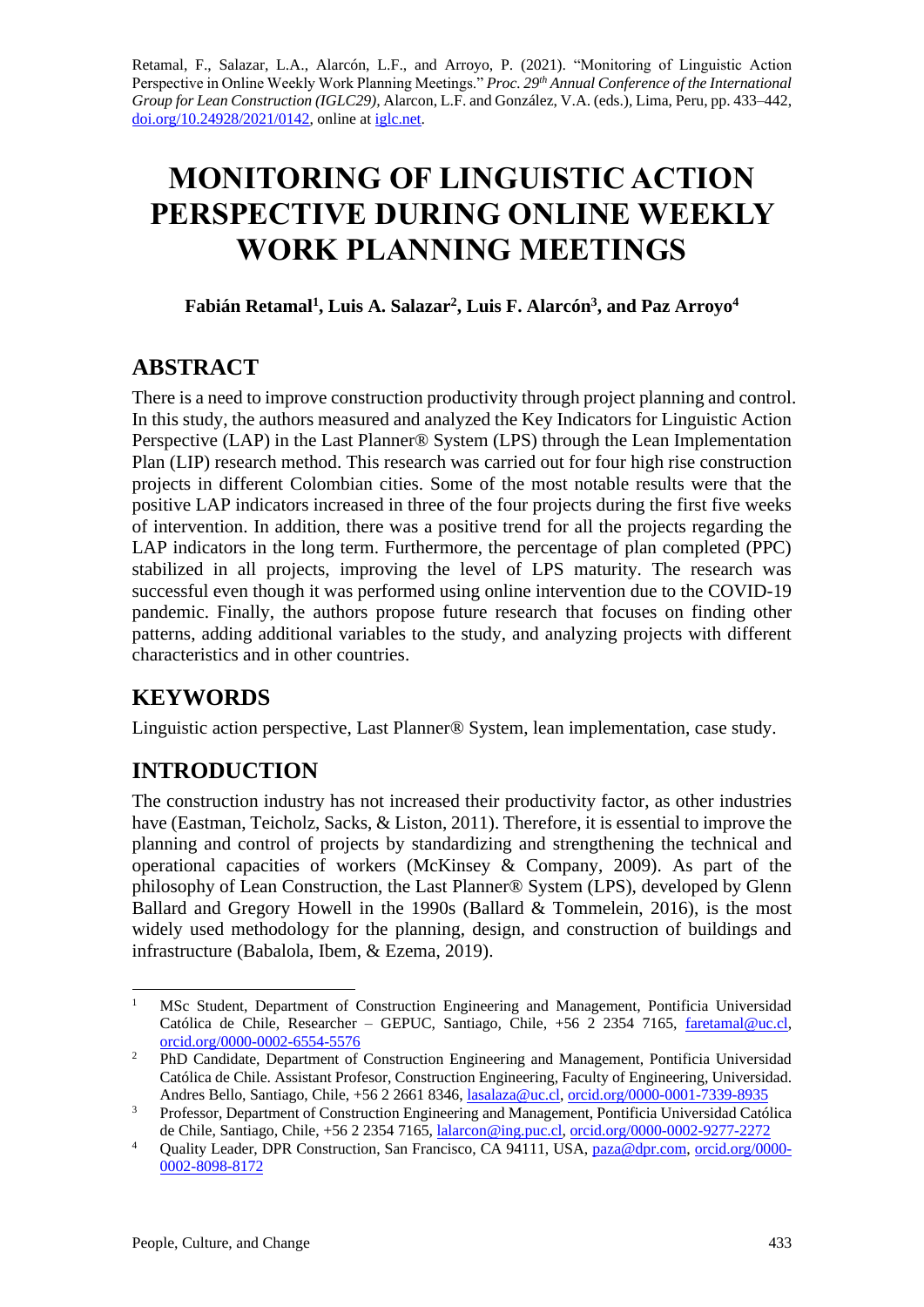Retamal, F., Salazar, L.A., Alarcón, L.F., and Arroyo, P. (2021). "Monitoring of Linguistic Action Perspective in Online Weekly Work Planning Meetings." *Proc. 29th Annual Conference of the International Group for Lean Construction (IGLC29),* Alarcon, L.F. and González, V.A. (eds.)*,* Lima, Peru, pp. 433–442, [doi.org/10.24928/2021/0142,](https://doi.org/10.24928/2021/0142) online a[t iglc.net.](http://iglc.net/)

# **MONITORING OF LINGUISTIC ACTION PERSPECTIVE DURING ONLINE WEEKLY WORK PLANNING MEETINGS**

**Fabián Retamal<sup>1</sup> , Luis A. Salazar<sup>2</sup> , Luis F. Alarcón<sup>3</sup> , and Paz Arroyo<sup>4</sup>**

## **ABSTRACT**

There is a need to improve construction productivity through project planning and control. In this study, the authors measured and analyzed the Key Indicators for Linguistic Action Perspective (LAP) in the Last Planner® System (LPS) through the Lean Implementation Plan (LIP) research method. This research was carried out for four high rise construction projects in different Colombian cities. Some of the most notable results were that the positive LAP indicators increased in three of the four projects during the first five weeks of intervention. In addition, there was a positive trend for all the projects regarding the LAP indicators in the long term. Furthermore, the percentage of plan completed (PPC) stabilized in all projects, improving the level of LPS maturity. The research was successful even though it was performed using online intervention due to the COVID-19 pandemic. Finally, the authors propose future research that focuses on finding other patterns, adding additional variables to the study, and analyzing projects with different characteristics and in other countries.

## **KEYWORDS**

Linguistic action perspective, Last Planner® System, lean implementation, case study.

## **INTRODUCTION**

The construction industry has not increased their productivity factor, as other industries have (Eastman, Teicholz, Sacks, & Liston, 2011). Therefore, it is essential to improve the planning and control of projects by standardizing and strengthening the technical and operational capacities of workers (McKinsey & Company, 2009). As part of the philosophy of Lean Construction, the Last Planner® System (LPS), developed by Glenn Ballard and Gregory Howell in the 1990s (Ballard & Tommelein, 2016), is the most widely used methodology for the planning, design, and construction of buildings and infrastructure (Babalola, Ibem, & Ezema, 2019).

<sup>1</sup> MSc Student, Department of Construction Engineering and Management, Pontificia Universidad Católica de Chile, Researcher – GEPUC, Santiago, Chile, +56 2 2354 7165, [faretamal@uc.cl,](mailto:faretamal@uc.cl) [orcid.org/0000-0002-6554-5576](https://orcid.org/0000-0002-6554-5576) 

<sup>&</sup>lt;sup>2</sup> PhD Candidate, Department of Construction Engineering and Management, Pontificia Universidad Católica de Chile. Assistant Profesor, Construction Engineering, Faculty of Engineering, Universidad. Andres Bello, Santiago, Chile, +56 2 2661 8346, [lasalaza@uc.cl,](mailto:lasalaza@uc.cl) [orcid.org/0000-0001-7339-8935](https://orcid.org/0000-0001-7339-8935)

<sup>&</sup>lt;sup>3</sup> Professor, Department of Construction Engineering and Management, Pontificia Universidad Católica de Chile, Santiago, Chile, +56 2 2354 7165[, lalarcon@ing.puc.cl,](mailto:lalarcon@ing.puc.cl) [orcid.org/0000-0002-9277-2272](https://orcid.org/0000-0002-9277-2272)

<sup>4</sup> Quality Leader, DPR Construction, San Francisco, CA 94111, USA, [paza@dpr.com,](mailto:paza@dpr.com) [orcid.org/0000-](https://orcid.org/0000-0002-8098-8172) [0002-8098-8172](https://orcid.org/0000-0002-8098-8172)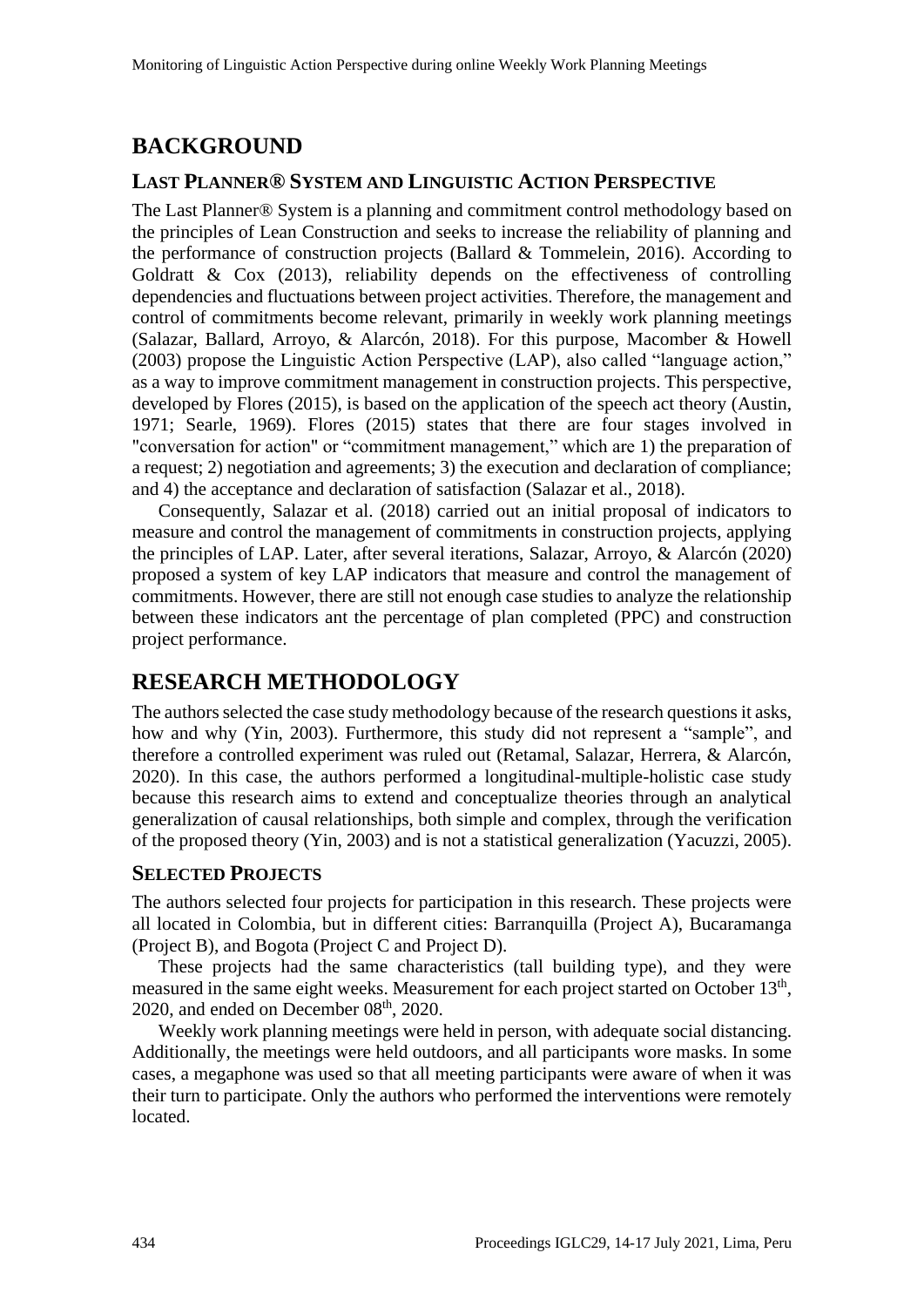## **BACKGROUND**

#### **LAST PLANNER® SYSTEM AND LINGUISTIC ACTION PERSPECTIVE**

The Last Planner® System is a planning and commitment control methodology based on the principles of Lean Construction and seeks to increase the reliability of planning and the performance of construction projects (Ballard & Tommelein, 2016). According to Goldratt & Cox (2013), reliability depends on the effectiveness of controlling dependencies and fluctuations between project activities. Therefore, the management and control of commitments become relevant, primarily in weekly work planning meetings (Salazar, Ballard, Arroyo, & Alarcón, 2018). For this purpose, Macomber & Howell (2003) propose the Linguistic Action Perspective (LAP), also called "language action," as a way to improve commitment management in construction projects. This perspective, developed by Flores (2015), is based on the application of the speech act theory (Austin, 1971; Searle, 1969). Flores (2015) states that there are four stages involved in "conversation for action" or "commitment management," which are 1) the preparation of a request; 2) negotiation and agreements; 3) the execution and declaration of compliance; and 4) the acceptance and declaration of satisfaction (Salazar et al., 2018).

Consequently, Salazar et al. (2018) carried out an initial proposal of indicators to measure and control the management of commitments in construction projects, applying the principles of LAP. Later, after several iterations, Salazar, Arroyo, & Alarcón (2020) proposed a system of key LAP indicators that measure and control the management of commitments. However, there are still not enough case studies to analyze the relationship between these indicators ant the percentage of plan completed (PPC) and construction project performance.

### **RESEARCH METHODOLOGY**

The authors selected the case study methodology because of the research questions it asks, how and why (Yin, 2003). Furthermore, this study did not represent a "sample", and therefore a controlled experiment was ruled out (Retamal, Salazar, Herrera, & Alarcón, 2020). In this case, the authors performed a longitudinal-multiple-holistic case study because this research aims to extend and conceptualize theories through an analytical generalization of causal relationships, both simple and complex, through the verification of the proposed theory (Yin, 2003) and is not a statistical generalization (Yacuzzi, 2005).

#### **SELECTED PROJECTS**

The authors selected four projects for participation in this research. These projects were all located in Colombia, but in different cities: Barranquilla (Project A), Bucaramanga (Project B), and Bogota (Project C and Project D).

These projects had the same characteristics (tall building type), and they were measured in the same eight weeks. Measurement for each project started on October 13<sup>th</sup>, 2020, and ended on December  $08<sup>th</sup>$ , 2020.

Weekly work planning meetings were held in person, with adequate social distancing. Additionally, the meetings were held outdoors, and all participants wore masks. In some cases, a megaphone was used so that all meeting participants were aware of when it was their turn to participate. Only the authors who performed the interventions were remotely located.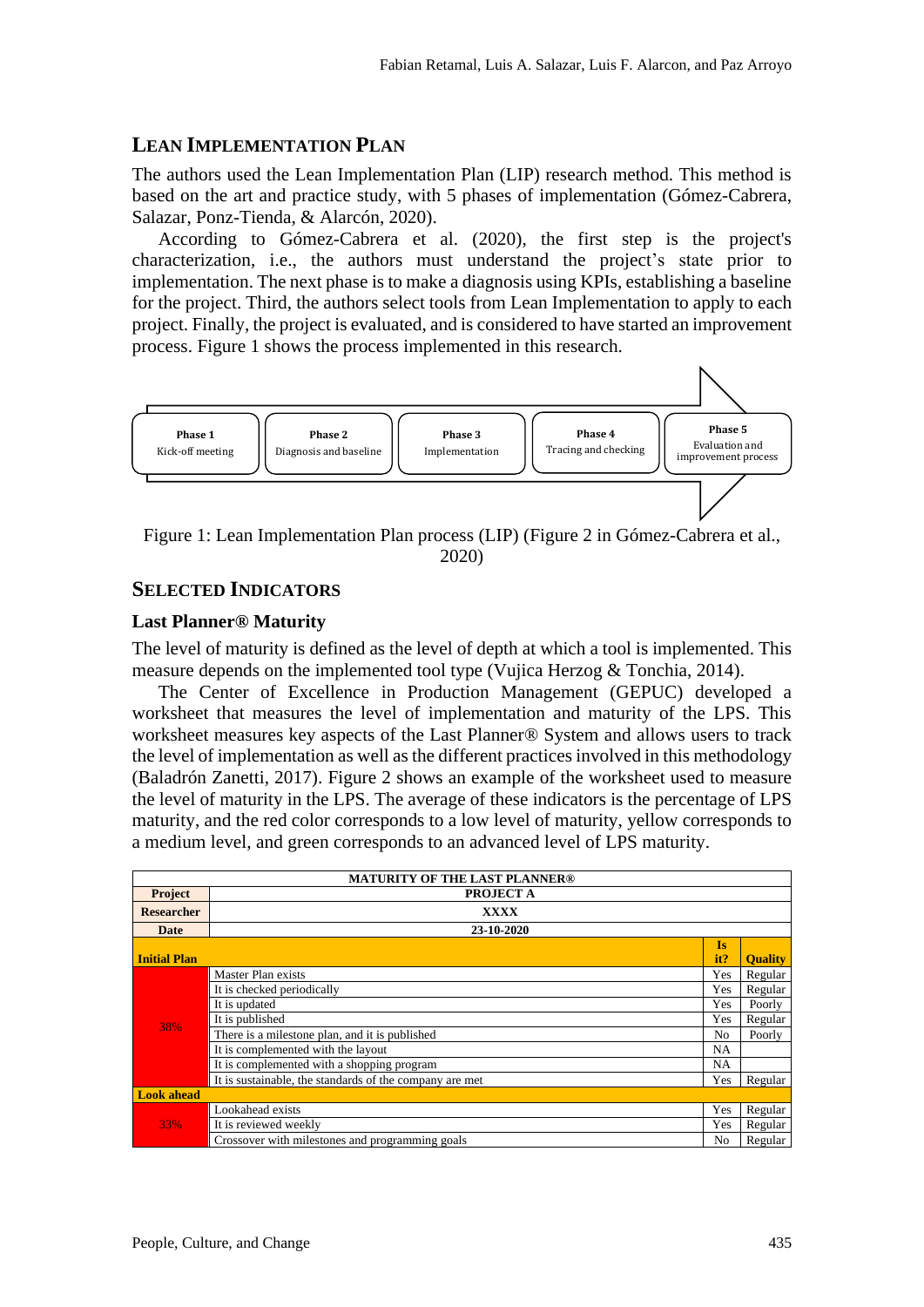#### **LEAN IMPLEMENTATION PLAN**

The authors used the Lean Implementation Plan (LIP) research method. This method is based on the art and practice study, with 5 phases of implementation (Gómez-Cabrera, Salazar, Ponz-Tienda, & Alarcón, 2020).

According to Gómez-Cabrera et al. (2020), the first step is the project's characterization, i.e., the authors must understand the project's state prior to implementation. The next phase is to make a diagnosis using KPIs, establishing a baseline for the project. Third, the authors select tools from Lean Implementation to apply to each project. Finally, the project is evaluated, and is considered to have started an improvement process. [Figure 1](#page-2-0) shows the process implemented in this research.



2020)

#### <span id="page-2-0"></span>**SELECTED INDICATORS**

#### **Last Planner® Maturity**

The level of maturity is defined as the level of depth at which a tool is implemented. This measure depends on the implemented tool type (Vujica Herzog & Tonchia, 2014).

The Center of Excellence in Production Management (GEPUC) developed a worksheet that measures the level of implementation and maturity of the LPS. This worksheet measures key aspects of the Last Planner® System and allows users to track the level of implementation as well as the different practices involved in this methodology (Baladrón Zanetti, 2017). Figure 2 shows an example of the worksheet used to measure the level of maturity in the LPS. The average of these indicators is the percentage of LPS maturity, and the red color corresponds to a low level of maturity, yellow corresponds to a medium level, and green corresponds to an advanced level of LPS maturity.

| <b>MATURITY OF THE LAST PLANNER®</b> |                                                         |                |                |  |  |  |  |
|--------------------------------------|---------------------------------------------------------|----------------|----------------|--|--|--|--|
| <b>Project</b><br>PROJECT A          |                                                         |                |                |  |  |  |  |
| <b>Researcher</b>                    | <b>XXXX</b>                                             |                |                |  |  |  |  |
| <b>Date</b>                          | 23-10-2020                                              |                |                |  |  |  |  |
|                                      |                                                         | <b>Is</b>      |                |  |  |  |  |
| <b>Initial Plan</b>                  |                                                         | it?            | <b>Ouality</b> |  |  |  |  |
|                                      | Master Plan exists                                      | Yes            | Regular        |  |  |  |  |
|                                      | It is checked periodically                              | Yes            | Regular        |  |  |  |  |
|                                      | It is updated                                           | Yes            | Poorly         |  |  |  |  |
| 38%                                  | It is published                                         | Yes            | Regular        |  |  |  |  |
|                                      | There is a milestone plan, and it is published          | N <sub>0</sub> | Poorly         |  |  |  |  |
|                                      | It is complemented with the layout                      | <b>NA</b>      |                |  |  |  |  |
|                                      | It is complemented with a shopping program              | <b>NA</b>      |                |  |  |  |  |
|                                      | It is sustainable, the standards of the company are met | Yes            | Regular        |  |  |  |  |
| <b>Look ahead</b>                    |                                                         |                |                |  |  |  |  |
| <b>33%</b>                           | Lookahead exists                                        | Yes            | Regular        |  |  |  |  |
|                                      | It is reviewed weekly                                   | Yes            | Regular        |  |  |  |  |
|                                      | Crossover with milestones and programming goals         | N <sub>0</sub> | Regular        |  |  |  |  |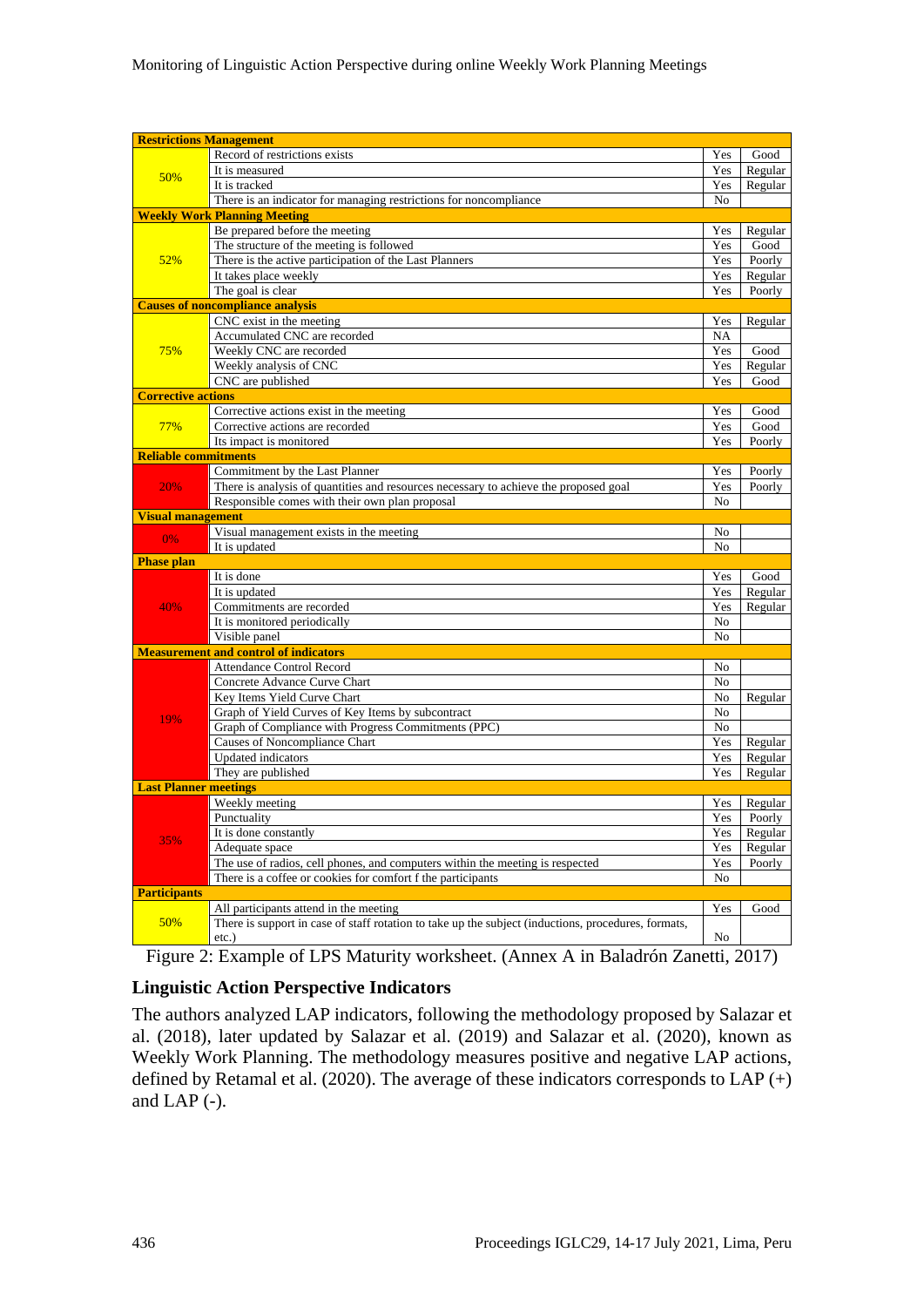| <b>Restrictions Management</b> |                                                                                                     |                |         |
|--------------------------------|-----------------------------------------------------------------------------------------------------|----------------|---------|
|                                | Record of restrictions exists                                                                       | Yes            | Good    |
| 50%                            | It is measured                                                                                      | Yes            | Regular |
|                                | It is tracked                                                                                       | Yes            | Regular |
|                                | There is an indicator for managing restrictions for noncompliance                                   | N <sub>0</sub> |         |
|                                | <b>Weekly Work Planning Meeting</b>                                                                 |                |         |
|                                | Be prepared before the meeting                                                                      | Yes            | Regular |
|                                | The structure of the meeting is followed                                                            | Yes            | Good    |
| 52%                            | There is the active participation of the Last Planners                                              | Yes            | Poorly  |
|                                | It takes place weekly                                                                               | Yes            | Regular |
|                                | The goal is clear                                                                                   | Yes            | Poorly  |
|                                | <b>Causes of noncompliance analysis</b>                                                             |                |         |
|                                | CNC exist in the meeting                                                                            | Yes            | Regular |
|                                | Accumulated CNC are recorded                                                                        | NA             |         |
| 75%                            | Weekly CNC are recorded                                                                             | Yes            | Good    |
|                                | Weekly analysis of CNC                                                                              | Yes            | Regular |
|                                | CNC are published                                                                                   | Yes            | Good    |
| <b>Corrective actions</b>      |                                                                                                     |                |         |
|                                | Corrective actions exist in the meeting                                                             | Yes            | Good    |
| 77%                            | Corrective actions are recorded                                                                     | Yes            | Good    |
|                                | Its impact is monitored                                                                             | Yes            | Poorly  |
| <b>Reliable commitments</b>    |                                                                                                     |                |         |
|                                | Commitment by the Last Planner                                                                      | Yes            | Poorly  |
| 20%                            | There is analysis of quantities and resources necessary to achieve the proposed goal                | Yes            | Poorly  |
|                                | Responsible comes with their own plan proposal                                                      | No             |         |
| <b>Visual management</b>       |                                                                                                     |                |         |
| 0%                             | Visual management exists in the meeting                                                             | No             |         |
|                                | It is updated                                                                                       | N <sub>0</sub> |         |
| <b>Phase plan</b>              | It is done                                                                                          | Yes            | Good    |
|                                | It is updated                                                                                       | Yes            | Regular |
| 40%                            | Commitments are recorded                                                                            | Yes            | Regular |
|                                | It is monitored periodically                                                                        | No             |         |
|                                | Visible panel                                                                                       | No             |         |
|                                | <b>Measurement and control of indicators</b>                                                        |                |         |
|                                | <b>Attendance Control Record</b>                                                                    | No             |         |
|                                | Concrete Advance Curve Chart                                                                        | No             |         |
|                                | Key Items Yield Curve Chart                                                                         | No             | Regular |
|                                | Graph of Yield Curves of Key Items by subcontract                                                   | No             |         |
| 19%                            | Graph of Compliance with Progress Commitments (PPC)                                                 | No             |         |
|                                | Causes of Noncompliance Chart                                                                       | Yes            | Regular |
|                                | <b>Updated</b> indicators                                                                           | Yes            | Regular |
|                                | They are published                                                                                  | Yes            | Regular |
| <b>Last Planner meetings</b>   |                                                                                                     |                |         |
|                                | Weekly meeting                                                                                      | Yes            | Regular |
| 35%                            | Punctuality                                                                                         | Yes            | Poorly  |
|                                | It is done constantly                                                                               | Yes            | Regular |
|                                | Adequate space                                                                                      | Yes            | Regular |
|                                | The use of radios, cell phones, and computers within the meeting is respected                       | Yes            | Poorly  |
|                                | There is a coffee or cookies for comfort f the participants                                         | No             |         |
| <b>Participants</b>            |                                                                                                     |                |         |
| 50%                            | All participants attend in the meeting                                                              | Yes            | Good    |
|                                | There is support in case of staff rotation to take up the subject (inductions, procedures, formats, |                |         |
|                                | etc.)                                                                                               | No             |         |

Figure 2: Example of LPS Maturity worksheet. (Annex A in Baladrón Zanetti, 2017)

#### **Linguistic Action Perspective Indicators**

The authors analyzed LAP indicators, following the methodology proposed by Salazar et al. (2018), later updated by Salazar et al. (2019) and Salazar et al. (2020), known as Weekly Work Planning. The methodology measures positive and negative LAP actions, defined by Retamal et al. (2020). The average of these indicators corresponds to LAP  $(+)$ and LAP (-).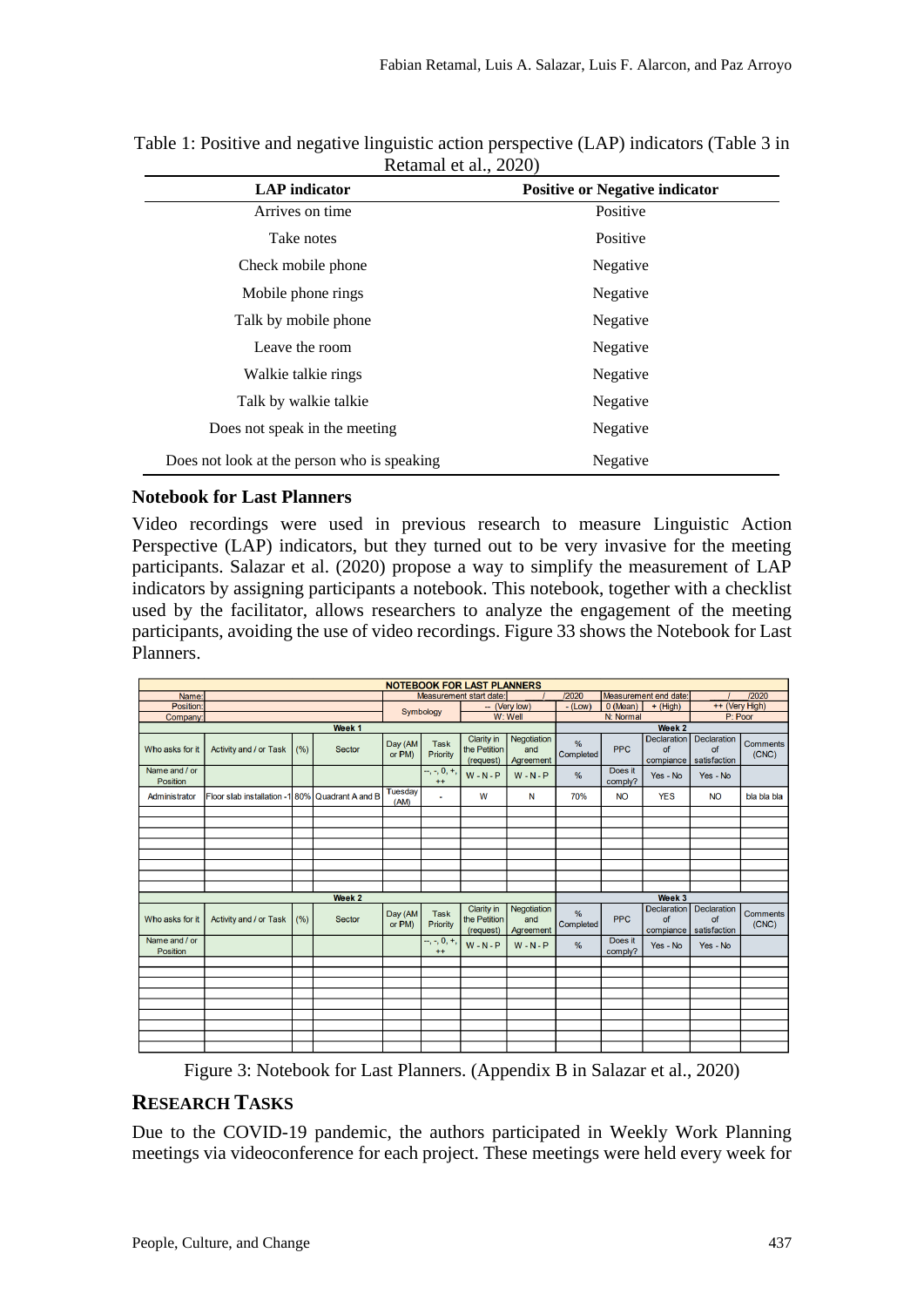| $100$ cannot be and $2020$<br><b>LAP</b> indicator<br><b>Positive or Negative indicator</b> |          |  |  |  |  |  |
|---------------------------------------------------------------------------------------------|----------|--|--|--|--|--|
| Arrives on time                                                                             | Positive |  |  |  |  |  |
|                                                                                             |          |  |  |  |  |  |
| Take notes                                                                                  | Positive |  |  |  |  |  |
| Check mobile phone                                                                          | Negative |  |  |  |  |  |
| Mobile phone rings                                                                          | Negative |  |  |  |  |  |
| Talk by mobile phone                                                                        | Negative |  |  |  |  |  |
| Leave the room                                                                              | Negative |  |  |  |  |  |
| Walkie talkie rings                                                                         | Negative |  |  |  |  |  |
| Talk by walkie talkie                                                                       | Negative |  |  |  |  |  |
| Does not speak in the meeting                                                               | Negative |  |  |  |  |  |
| Does not look at the person who is speaking                                                 | Negative |  |  |  |  |  |

Table 1: Positive and negative linguistic action perspective (LAP) indicators (Table 3 in Retamal et al.  $2020$ 

#### **Notebook for Last Planners**

Video recordings were used in previous research to measure Linguistic Action Perspective (LAP) indicators, but they turned out to be very invasive for the meeting participants. Salazar et al. (2020) propose a way to simplify the measurement of LAP indicators by assigning participants a notebook. This notebook, together with a checklist used by the facilitator, allows researchers to analyze the engagement of the meeting participants, avoiding the use of video recordings. [Figure 33](#page-4-0) shows the Notebook for Last Planners.

| <b>NOTEBOOK FOR LAST PLANNERS</b> |                                                 |      |                   |                        |                         |                                         |                                 |                            |                       |                                       |                                          |                          |  |
|-----------------------------------|-------------------------------------------------|------|-------------------|------------------------|-------------------------|-----------------------------------------|---------------------------------|----------------------------|-----------------------|---------------------------------------|------------------------------------------|--------------------------|--|
| Name:                             | Measurement start date:                         |      |                   |                        |                         |                                         | /2020                           |                            | Measurement end date: |                                       | /2020                                    |                          |  |
| <b>Position</b>                   |                                                 |      |                   | -- (Very low)          |                         | $-$ (Low)                               | 0 (Mean)<br>$+$ (High)          |                            | ++ (Very High)        |                                       |                                          |                          |  |
| Company                           |                                                 |      |                   | Symbology<br>$W:$ Well |                         | N: Normal                               |                                 | P: Poor                    |                       |                                       |                                          |                          |  |
|                                   |                                                 |      | Week <sub>1</sub> |                        |                         |                                         |                                 |                            |                       | Week <sub>2</sub>                     |                                          |                          |  |
| Who asks for it                   | Activity and / or Task                          | (% ) | <b>Sector</b>     | Day (AM<br>or PM)      | <b>Task</b><br>Priority | Clarity in<br>the Petition<br>(request) | Negotiation<br>and<br>Agreement | $\frac{9}{6}$<br>Completed | <b>PPC</b>            | <b>Declaration</b><br>of<br>compiance | <b>Declaration</b><br>of<br>satisfaction | <b>Comments</b><br>(CNC) |  |
| Name and / or<br><b>Position</b>  |                                                 |      |                   |                        | $-$ , -, 0, +,<br>$++$  | $W - N - P$                             | $W - N - P$                     | $\frac{9}{6}$              | Does it<br>comply?    | Yes - No                              | Yes - No                                 |                          |  |
| Administrator                     | Floor slab installation -1 80% Quadrant A and B |      |                   | <b>Tuesday</b><br>(AM) | ٠                       | W                                       | N                               | 70%                        | <b>NO</b>             | <b>YES</b>                            | <b>NO</b>                                | bla bla bla              |  |
|                                   |                                                 |      |                   |                        |                         |                                         |                                 |                            |                       |                                       |                                          |                          |  |
|                                   |                                                 |      |                   |                        |                         |                                         |                                 |                            |                       |                                       |                                          |                          |  |
|                                   |                                                 |      |                   |                        |                         |                                         |                                 |                            |                       |                                       |                                          |                          |  |
|                                   |                                                 |      |                   |                        |                         |                                         |                                 |                            |                       |                                       |                                          |                          |  |
|                                   |                                                 |      |                   |                        |                         |                                         |                                 |                            |                       |                                       |                                          |                          |  |
|                                   |                                                 |      |                   |                        |                         |                                         |                                 |                            |                       |                                       |                                          |                          |  |
|                                   |                                                 |      |                   |                        |                         |                                         |                                 |                            |                       |                                       |                                          |                          |  |
|                                   |                                                 |      | Week 2            |                        |                         |                                         |                                 |                            |                       | Week 3                                |                                          |                          |  |
| Who asks for it                   | Activity and / or Task                          | (% ) | <b>Sector</b>     | Day (AM<br>or PM)      | <b>Task</b><br>Priority | Clarity in<br>the Petition<br>(request) | Negotiation<br>and<br>Agreement | $\frac{9}{6}$<br>Completed | <b>PPC</b>            | <b>Declaration</b><br>of<br>compiance | <b>Declaration</b><br>of<br>satisfaction | <b>Comments</b><br>(CNC) |  |
| Name and / or<br><b>Position</b>  |                                                 |      |                   |                        | $-,-, 0, +,$<br>$++$    | $W - N - P$                             | $W - N - P$                     | $\frac{9}{6}$              | Does it<br>comply?    | Yes - No                              | Yes - No                                 |                          |  |
|                                   |                                                 |      |                   |                        |                         |                                         |                                 |                            |                       |                                       |                                          |                          |  |
|                                   |                                                 |      |                   |                        |                         |                                         |                                 |                            |                       |                                       |                                          |                          |  |
|                                   |                                                 |      |                   |                        |                         |                                         |                                 |                            |                       |                                       |                                          |                          |  |
|                                   |                                                 |      |                   |                        |                         |                                         |                                 |                            |                       |                                       |                                          |                          |  |
|                                   |                                                 |      |                   |                        |                         |                                         |                                 |                            |                       |                                       |                                          |                          |  |
|                                   |                                                 |      |                   |                        |                         |                                         |                                 |                            |                       |                                       |                                          |                          |  |
|                                   |                                                 |      |                   |                        |                         |                                         |                                 |                            |                       |                                       |                                          |                          |  |
|                                   |                                                 |      |                   |                        |                         |                                         |                                 |                            |                       |                                       |                                          |                          |  |

Figure 3: Notebook for Last Planners. (Appendix B in Salazar et al., 2020)

#### <span id="page-4-0"></span>**RESEARCH TASKS**

Due to the COVID-19 pandemic, the authors participated in Weekly Work Planning meetings via videoconference for each project. These meetings were held every week for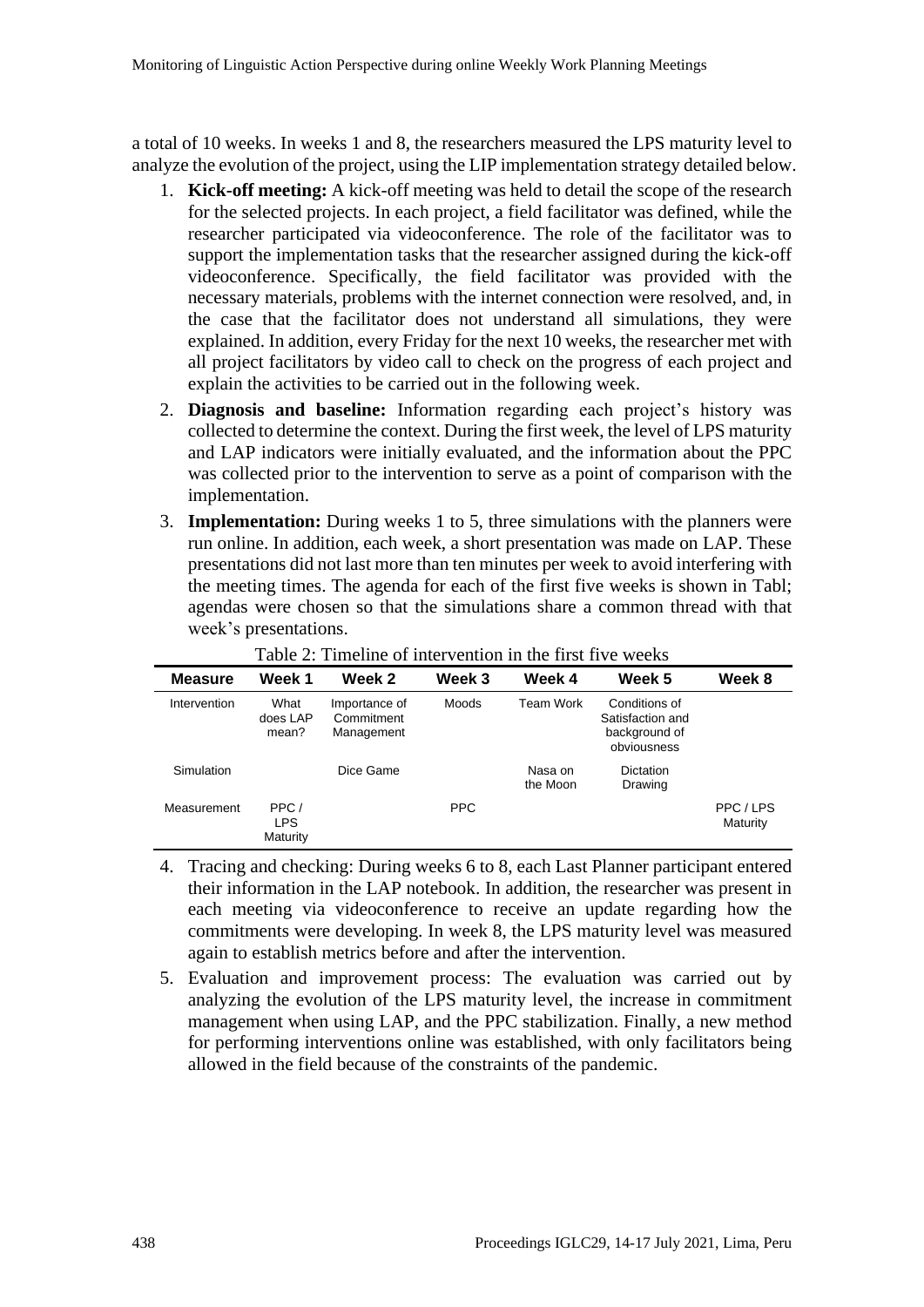a total of 10 weeks. In weeks 1 and 8, the researchers measured the LPS maturity level to analyze the evolution of the project, using the LIP implementation strategy detailed below.

- 1. **Kick-off meeting:** A kick-off meeting was held to detail the scope of the research for the selected projects. In each project, a field facilitator was defined, while the researcher participated via videoconference. The role of the facilitator was to support the implementation tasks that the researcher assigned during the kick-off videoconference. Specifically, the field facilitator was provided with the necessary materials, problems with the internet connection were resolved, and, in the case that the facilitator does not understand all simulations, they were explained. In addition, every Friday for the next 10 weeks, the researcher met with all project facilitators by video call to check on the progress of each project and explain the activities to be carried out in the following week.
- 2. **Diagnosis and baseline:** Information regarding each project's history was collected to determine the context. During the first week, the level of LPS maturity and LAP indicators were initially evaluated, and the information about the PPC was collected prior to the intervention to serve as a point of comparison with the implementation.
- 3. **Implementation:** During weeks 1 to 5, three simulations with the planners were run online. In addition, each week, a short presentation was made on LAP. These presentations did not last more than ten minutes per week to avoid interfering with the meeting times. The agenda for each of the first five weeks is shown in [Tabl;](#page-5-0) agendas were chosen so that the simulations share a common thread with that week's presentations.

<span id="page-5-0"></span>

| <b>Measure</b> | Week 1                         | Week 2                                    | Week 3     | Week 4              | Week 5                                                            | Week 8              |
|----------------|--------------------------------|-------------------------------------------|------------|---------------------|-------------------------------------------------------------------|---------------------|
| Intervention   | What<br>does LAP<br>mean?      | Importance of<br>Commitment<br>Management | Moods      | <b>Team Work</b>    | Conditions of<br>Satisfaction and<br>background of<br>obviousness |                     |
| Simulation     |                                | Dice Game                                 |            | Nasa on<br>the Moon | <b>Dictation</b><br>Drawing                                       |                     |
| Measurement    | PPC/<br><b>LPS</b><br>Maturity |                                           | <b>PPC</b> |                     |                                                                   | PPC/LPS<br>Maturity |

Table 2: Timeline of intervention in the first five weeks

- 4. Tracing and checking: During weeks 6 to 8, each Last Planner participant entered their information in the LAP notebook. In addition, the researcher was present in each meeting via videoconference to receive an update regarding how the commitments were developing. In week 8, the LPS maturity level was measured again to establish metrics before and after the intervention.
- 5. Evaluation and improvement process: The evaluation was carried out by analyzing the evolution of the LPS maturity level, the increase in commitment management when using LAP, and the PPC stabilization. Finally, a new method for performing interventions online was established, with only facilitators being allowed in the field because of the constraints of the pandemic.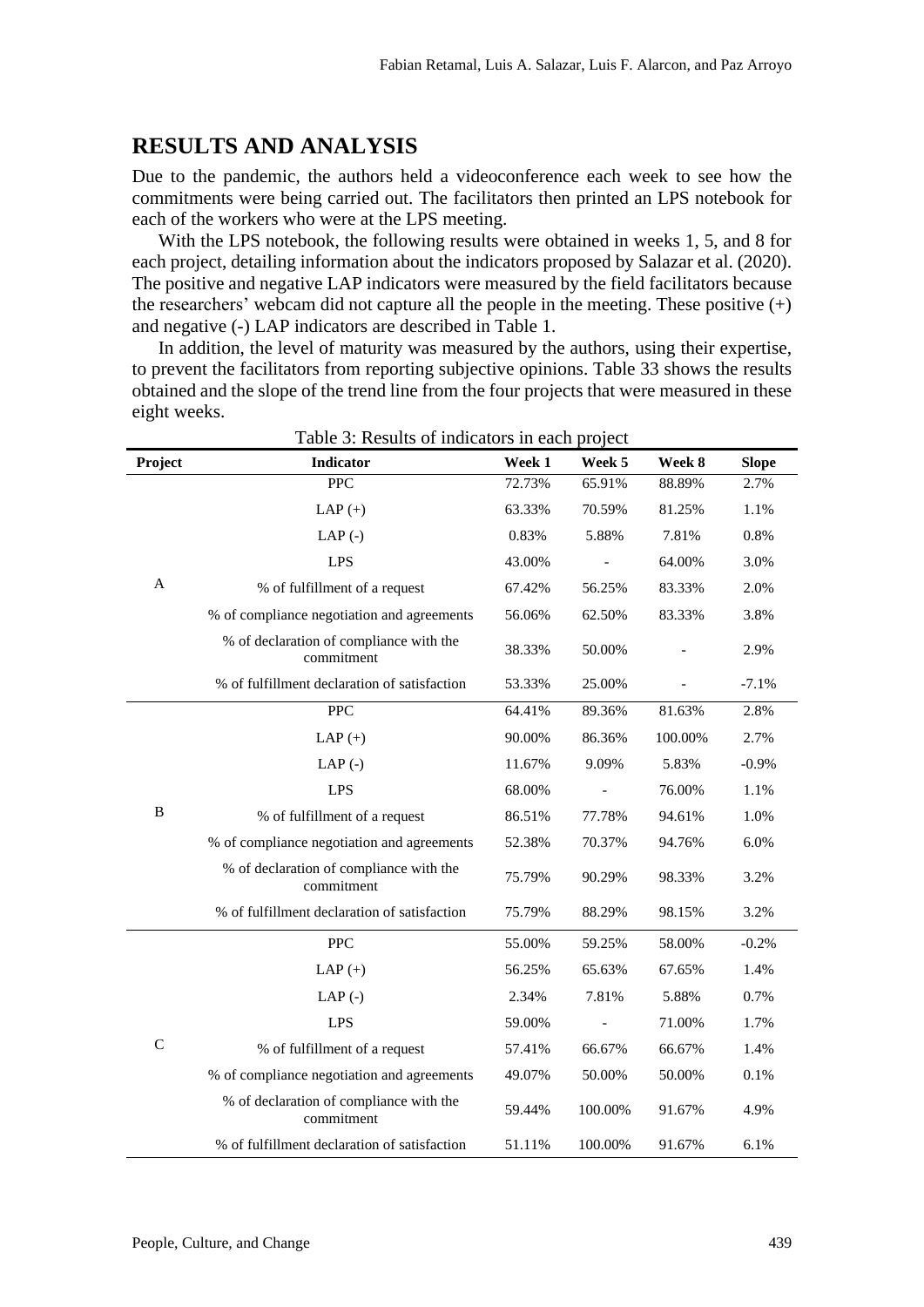#### **RESULTS AND ANALYSIS**

Due to the pandemic, the authors held a videoconference each week to see how the commitments were being carried out. The facilitators then printed an LPS notebook for each of the workers who were at the LPS meeting.

With the LPS notebook, the following results were obtained in weeks 1, 5, and 8 for each project, detailing information about the indicators proposed by Salazar et al. (2020). The positive and negative LAP indicators were measured by the field facilitators because the researchers' webcam did not capture all the people in the meeting. These positive  $(+)$ and negative (-) LAP indicators are described in Table 1.

In addition, the level of maturity was measured by the authors, using their expertise, to prevent the facilitators from reporting subjective opinions. [Table 33](#page-6-0) shows the results obtained and the slope of the trend line from the four projects that were measured in these eight weeks.

<span id="page-6-0"></span>

|                | Table 3: Results of indicators in each project        |        |         |         |              |
|----------------|-------------------------------------------------------|--------|---------|---------|--------------|
| Project        | <b>Indicator</b>                                      | Week 1 | Week 5  | Week 8  | <b>Slope</b> |
|                | <b>PPC</b>                                            | 72.73% | 65.91%  | 88.89%  | 2.7%         |
|                | $LAP (+)$                                             | 63.33% | 70.59%  | 81.25%  | 1.1%         |
|                | $LAP$ (-)                                             | 0.83%  | 5.88%   | 7.81%   | 0.8%         |
|                | <b>LPS</b>                                            | 43.00% |         | 64.00%  | 3.0%         |
| A              | % of fulfillment of a request                         | 67.42% | 56.25%  | 83.33%  | 2.0%         |
|                | % of compliance negotiation and agreements            | 56.06% | 62.50%  | 83.33%  | 3.8%         |
|                | % of declaration of compliance with the<br>commitment | 38.33% | 50.00%  |         | 2.9%         |
|                | % of fulfillment declaration of satisfaction          | 53.33% | 25.00%  |         | $-7.1%$      |
|                | <b>PPC</b>                                            | 64.41% | 89.36%  | 81.63%  | 2.8%         |
|                | $LAP (+)$                                             | 90.00% | 86.36%  | 100.00% | 2.7%         |
|                | $LAP$ (-)                                             | 11.67% | 9.09%   | 5.83%   | $-0.9%$      |
|                | <b>LPS</b>                                            | 68.00% |         | 76.00%  | 1.1%         |
| $\bf{B}$       | % of fulfillment of a request                         | 86.51% | 77.78%  | 94.61%  | 1.0%         |
|                | % of compliance negotiation and agreements            | 52.38% | 70.37%  | 94.76%  | 6.0%         |
|                | % of declaration of compliance with the<br>commitment | 75.79% | 90.29%  | 98.33%  | 3.2%         |
|                | % of fulfillment declaration of satisfaction          | 75.79% | 88.29%  | 98.15%  | 3.2%         |
|                | <b>PPC</b>                                            | 55.00% | 59.25%  | 58.00%  | $-0.2%$      |
|                | LAP $(+)$                                             | 56.25% | 65.63%  | 67.65%  | 1.4%         |
|                | $LAP$ (-)                                             | 2.34%  | 7.81%   | 5.88%   | 0.7%         |
| $\overline{C}$ | <b>LPS</b>                                            | 59.00% |         | 71.00%  | 1.7%         |
|                | % of fulfillment of a request                         | 57.41% | 66.67%  | 66.67%  | 1.4%         |
|                | % of compliance negotiation and agreements            | 49.07% | 50.00%  | 50.00%  | 0.1%         |
|                | % of declaration of compliance with the<br>commitment | 59.44% | 100.00% | 91.67%  | 4.9%         |
|                | % of fulfillment declaration of satisfaction          | 51.11% | 100.00% | 91.67%  | 6.1%         |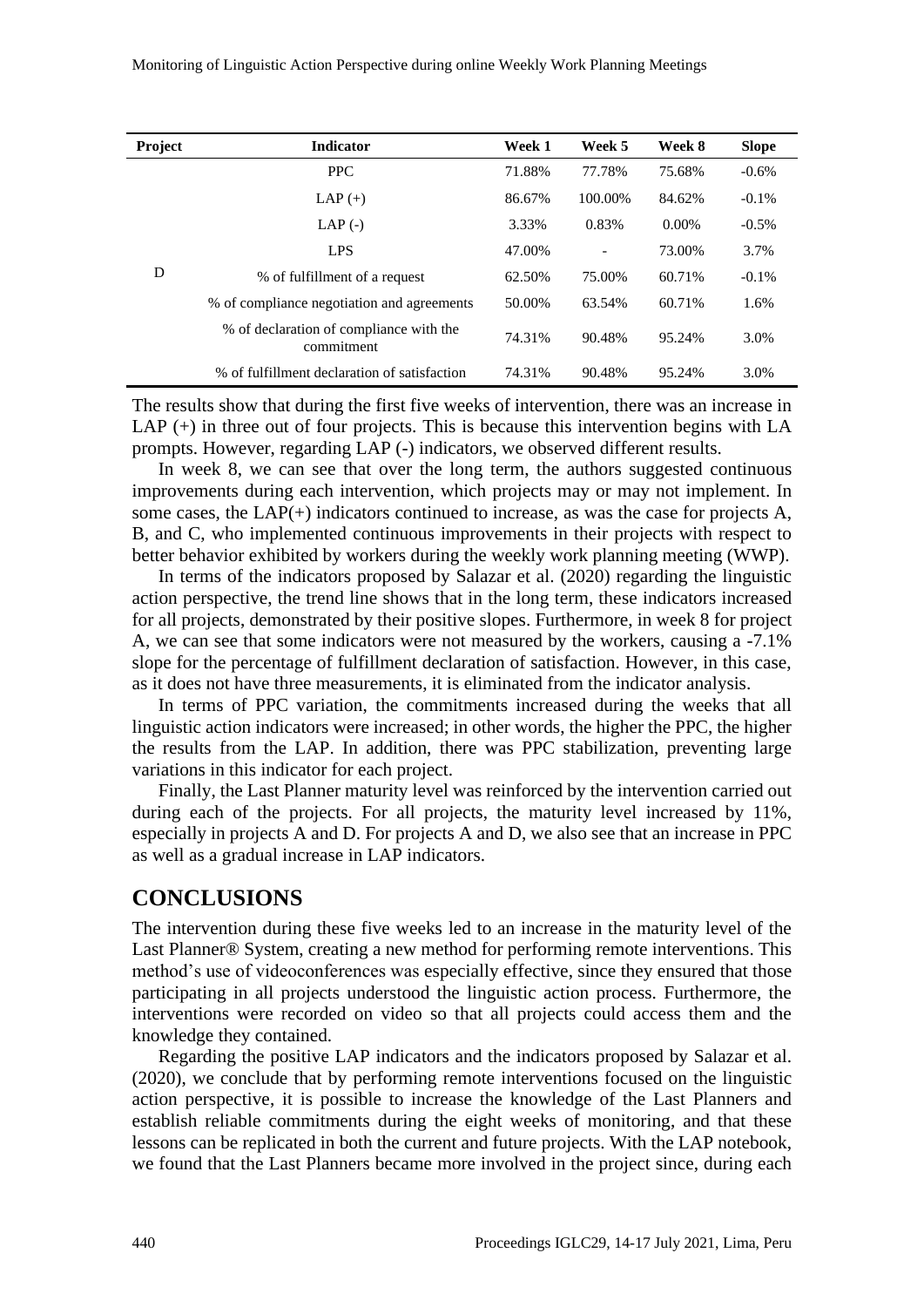| <b>Project</b> | <b>Indicator</b>                                      | Week 1 | Week 5         | Week 8   | <b>Slope</b> |
|----------------|-------------------------------------------------------|--------|----------------|----------|--------------|
| D              | <b>PPC</b>                                            | 71.88% | 77.78%         | 75.68%   | $-0.6%$      |
|                | $LAP (+)$                                             | 86.67% | 100.00%        | 84.62%   | $-0.1\%$     |
|                | $LAP$ (-)                                             | 3.33%  | 0.83%          | $0.00\%$ | $-0.5\%$     |
|                | <b>LPS</b>                                            | 47.00% | $\overline{a}$ | 73.00%   | 3.7%         |
|                | % of fulfillment of a request                         | 62.50% | 75.00%         | 60.71%   | $-0.1\%$     |
|                | % of compliance negotiation and agreements            | 50.00% | 63.54%         | 60.71%   | 1.6%         |
|                | % of declaration of compliance with the<br>commitment | 74.31% | 90.48%         | 95.24%   | 3.0%         |
|                | % of fulfillment declaration of satisfaction          | 74.31% | 90.48%         | 95.24%   | 3.0%         |

The results show that during the first five weeks of intervention, there was an increase in LAP (+) in three out of four projects. This is because this intervention begins with LA prompts. However, regarding LAP (-) indicators, we observed different results.

In week 8, we can see that over the long term, the authors suggested continuous improvements during each intervention, which projects may or may not implement. In some cases, the  $LAP(+)$  indicators continued to increase, as was the case for projects A, B, and C, who implemented continuous improvements in their projects with respect to better behavior exhibited by workers during the weekly work planning meeting (WWP).

In terms of the indicators proposed by Salazar et al. (2020) regarding the linguistic action perspective, the trend line shows that in the long term, these indicators increased for all projects, demonstrated by their positive slopes. Furthermore, in week 8 for project A, we can see that some indicators were not measured by the workers, causing a -7.1% slope for the percentage of fulfillment declaration of satisfaction. However, in this case, as it does not have three measurements, it is eliminated from the indicator analysis.

In terms of PPC variation, the commitments increased during the weeks that all linguistic action indicators were increased; in other words, the higher the PPC, the higher the results from the LAP. In addition, there was PPC stabilization, preventing large variations in this indicator for each project.

Finally, the Last Planner maturity level was reinforced by the intervention carried out during each of the projects. For all projects, the maturity level increased by 11%, especially in projects A and D. For projects A and D, we also see that an increase in PPC as well as a gradual increase in LAP indicators.

#### **CONCLUSIONS**

The intervention during these five weeks led to an increase in the maturity level of the Last Planner® System, creating a new method for performing remote interventions. This method's use of videoconferences was especially effective, since they ensured that those participating in all projects understood the linguistic action process. Furthermore, the interventions were recorded on video so that all projects could access them and the knowledge they contained.

Regarding the positive LAP indicators and the indicators proposed by Salazar et al. (2020), we conclude that by performing remote interventions focused on the linguistic action perspective, it is possible to increase the knowledge of the Last Planners and establish reliable commitments during the eight weeks of monitoring, and that these lessons can be replicated in both the current and future projects. With the LAP notebook, we found that the Last Planners became more involved in the project since, during each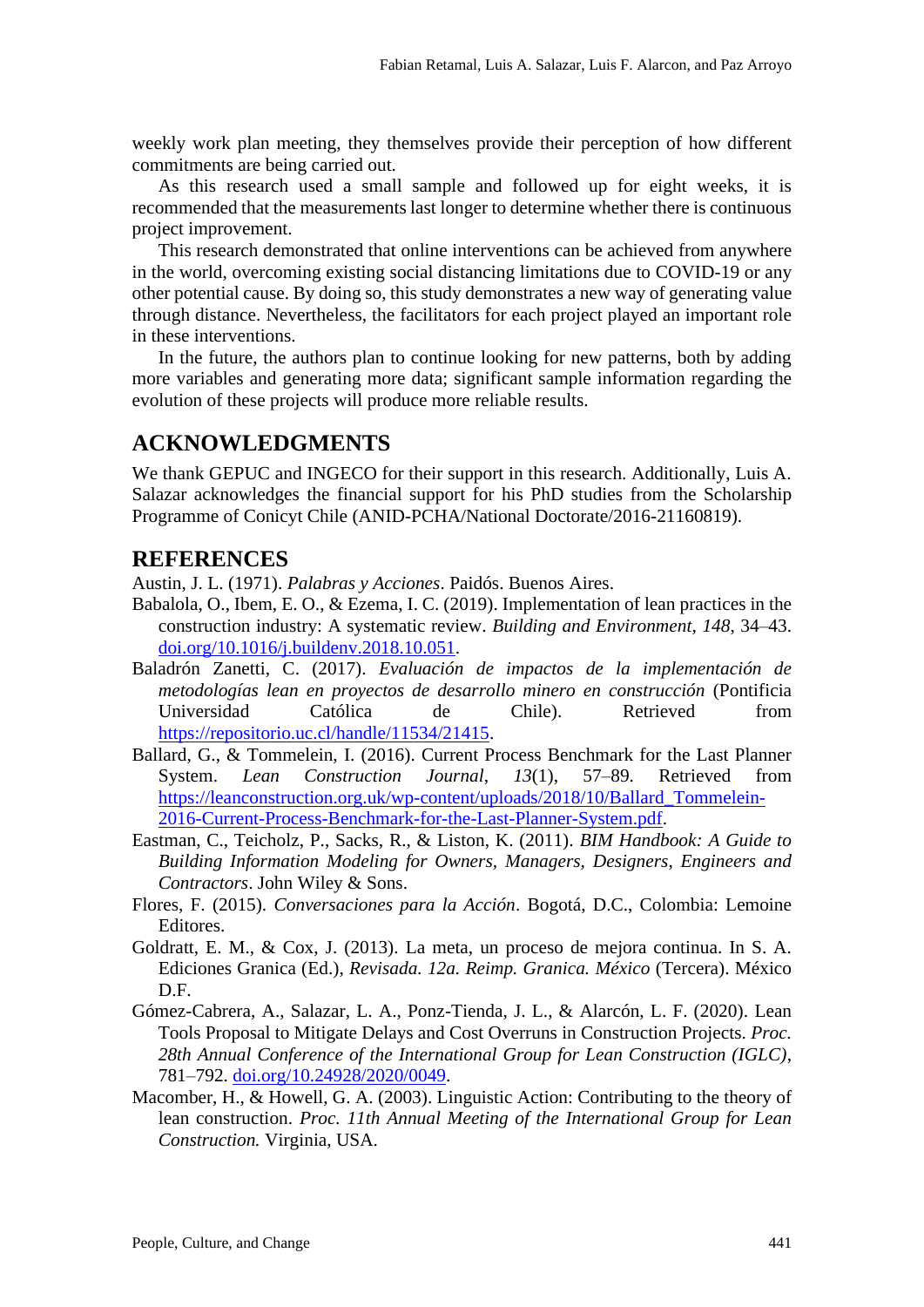weekly work plan meeting, they themselves provide their perception of how different commitments are being carried out.

As this research used a small sample and followed up for eight weeks, it is recommended that the measurements last longer to determine whether there is continuous project improvement.

This research demonstrated that online interventions can be achieved from anywhere in the world, overcoming existing social distancing limitations due to COVID-19 or any other potential cause. By doing so, this study demonstrates a new way of generating value through distance. Nevertheless, the facilitators for each project played an important role in these interventions.

In the future, the authors plan to continue looking for new patterns, both by adding more variables and generating more data; significant sample information regarding the evolution of these projects will produce more reliable results.

## **ACKNOWLEDGMENTS**

We thank GEPUC and INGECO for their support in this research. Additionally, Luis A. Salazar acknowledges the financial support for his PhD studies from the Scholarship Programme of Conicyt Chile (ANID-PCHA/National Doctorate/2016-21160819).

### **REFERENCES**

Austin, J. L. (1971). *Palabras y Acciones*. Paidós. Buenos Aires.

- Babalola, O., Ibem, E. O., & Ezema, I. C. (2019). Implementation of lean practices in the construction industry: A systematic review. *Building and Environment*, *148*, 34–43. [doi.org/10.1016/j.buildenv.2018.10.051.](https://doi.org/10.1016/j.buildenv.2018.10.051)
- Baladrón Zanetti, C. (2017). *Evaluación de impactos de la implementación de metodologías lean en proyectos de desarrollo minero en construcción* (Pontificia Universidad Católica de Chile). Retrieved from [https://repositorio.uc.cl/handle/11534/21415.](https://repositorio.uc.cl/handle/11534/21415)
- Ballard, G., & Tommelein, I. (2016). Current Process Benchmark for the Last Planner System. *Lean Construction Journal*, *13*(1), 57–89. Retrieved from [https://leanconstruction.org.uk/wp-content/uploads/2018/10/Ballard\\_Tommelein-](https://leanconstruction.org.uk/wp-content/uploads/2018/10/Ballard_Tommelein-2016-Current-Process-Benchmark-for-the-Last-Planner-System.pdf)[2016-Current-Process-Benchmark-for-the-Last-Planner-System.pdf.](https://leanconstruction.org.uk/wp-content/uploads/2018/10/Ballard_Tommelein-2016-Current-Process-Benchmark-for-the-Last-Planner-System.pdf)
- Eastman, C., Teicholz, P., Sacks, R., & Liston, K. (2011). *BIM Handbook: A Guide to Building Information Modeling for Owners, Managers, Designers, Engineers and Contractors*. John Wiley & Sons.
- Flores, F. (2015). *Conversaciones para la Acción*. Bogotá, D.C., Colombia: Lemoine Editores.
- Goldratt, E. M., & Cox, J. (2013). La meta, un proceso de mejora continua. In S. A. Ediciones Granica (Ed.), *Revisada. 12a. Reimp. Granica. México* (Tercera). México D.F.
- Gómez-Cabrera, A., Salazar, L. A., Ponz-Tienda, J. L., & Alarcón, L. F. (2020). Lean Tools Proposal to Mitigate Delays and Cost Overruns in Construction Projects. *Proc. 28th Annual Conference of the International Group for Lean Construction (IGLC)*, 781–792. [doi.org/10.24928/2020/0049.](https://doi.org/10.24928/2020/0049)
- Macomber, H., & Howell, G. A. (2003). Linguistic Action: Contributing to the theory of lean construction. *Proc. 11th Annual Meeting of the International Group for Lean Construction.* Virginia, USA.